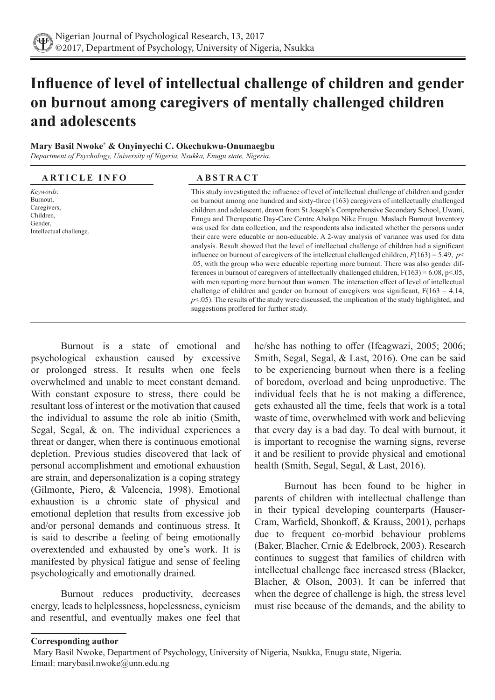# **Influence of level of intellectual challenge of children and gender on burnout among caregivers of mentally challenged children and adolescents**

#### **Mary Basil Nwoke\* & Onyinyechi C. Okechukwu-Onumaegbu**

*Department of Psychology, University of Nigeria, Nsukka, Enugu state, Nigeria.* 

# **ARTICLE INFO ABSTRACT**

*Keywords:* Burnout, Caregivers, Children, Gender, Intellectual challenge.

This study investigated the influence of level of intellectual challenge of children and gender on burnout among one hundred and sixty-three (163) caregivers of intellectually challenged children and adolescent, drawn from St Joseph's Comprehensive Secondary School, Uwani, Enugu and Therapeutic Day-Care Centre Abakpa Nike Enugu. Maslach Burnout Inventory was used for data collection, and the respondents also indicated whether the persons under their care were educable or non-educable. A 2-way analysis of variance was used for data analysis. Result showed that the level of intellectual challenge of children had a significant influence on burnout of caregivers of the intellectual challenged children,  $F(163) = 5.49$ ,  $p<$ .05, with the group who were educable reporting more burnout. There was also gender differences in burnout of caregivers of intellectually challenged children,  $F(163) = 6.08$ ,  $p<.05$ , with men reporting more burnout than women. The interaction effect of level of intellectual challenge of children and gender on burnout of caregivers was significant,  $F(163 = 4.14,$ *p*<.05). The results of the study were discussed, the implication of the study highlighted, and suggestions proffered for further study.

Burnout is a state of emotional and psychological exhaustion caused by excessive or prolonged stress. It results when one feels overwhelmed and unable to meet constant demand. With constant exposure to stress, there could be resultant loss of interest or the motivation that caused the individual to assume the role ab initio (Smith, Segal, Segal, & on. The individual experiences a threat or danger, when there is continuous emotional depletion. Previous studies discovered that lack of personal accomplishment and emotional exhaustion are strain, and depersonalization is a coping strategy (Gilmonte, Piero, & Valcencia, 1998). Emotional exhaustion is a chronic state of physical and emotional depletion that results from excessive job and/or personal demands and continuous stress. It is said to describe a feeling of being emotionally overextended and exhausted by one's work. It is manifested by physical fatigue and sense of feeling psychologically and emotionally drained.

Burnout reduces productivity, decreases energy, leads to helplessness, hopelessness, cynicism and resentful, and eventually makes one feel that he/she has nothing to offer (Ifeagwazi, 2005; 2006; Smith, Segal, Segal, & Last, 2016). One can be said to be experiencing burnout when there is a feeling of boredom, overload and being unproductive. The individual feels that he is not making a difference, gets exhausted all the time, feels that work is a total waste of time, overwhelmed with work and believing that every day is a bad day. To deal with burnout, it is important to recognise the warning signs, reverse it and be resilient to provide physical and emotional health (Smith, Segal, Segal, & Last, 2016).

Burnout has been found to be higher in parents of children with intellectual challenge than in their typical developing counterparts (Hauser-Cram, Warfield, Shonkoff, & Krauss, 2001), perhaps due to frequent co-morbid behaviour problems (Baker, Blacher, Crnic & Edelbrock, 2003). Research continues to suggest that families of children with intellectual challenge face increased stress (Blacker, Blacher, & Olson, 2003). It can be inferred that when the degree of challenge is high, the stress level must rise because of the demands, and the ability to

#### **Corresponding author**

Mary Basil Nwoke, Department of Psychology, University of Nigeria, Nsukka, Enugu state, Nigeria. Email: marybasil.nwoke@unn.edu.ng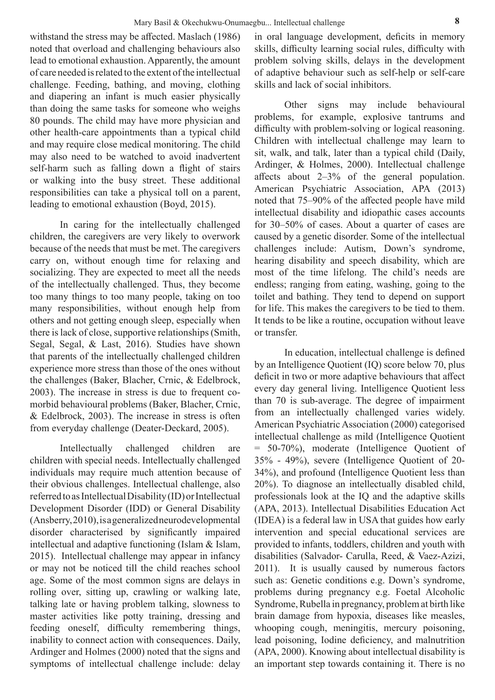withstand the stress may be affected. Maslach (1986) noted that overload and challenging behaviours also lead to emotional exhaustion. Apparently, the amount of care needed is related to the extent of the intellectual challenge. Feeding, bathing, and moving, clothing and diapering an infant is much easier physically than doing the same tasks for someone who weighs 80 pounds. The child may have more physician and other health-care appointments than a typical child and may require close medical monitoring. The child may also need to be watched to avoid inadvertent self-harm such as falling down a flight of stairs or walking into the busy street. These additional responsibilities can take a physical toll on a parent, leading to emotional exhaustion (Boyd, 2015).

In caring for the intellectually challenged children, the caregivers are very likely to overwork because of the needs that must be met. The caregivers carry on, without enough time for relaxing and socializing. They are expected to meet all the needs of the intellectually challenged. Thus, they become too many things to too many people, taking on too many responsibilities, without enough help from others and not getting enough sleep, especially when there is lack of close, supportive relationships (Smith, Segal, Segal, & Last, 2016). Studies have shown that parents of the intellectually challenged children experience more stress than those of the ones without the challenges (Baker, Blacher, Crnic, & Edelbrock, 2003). The increase in stress is due to frequent comorbid behavioural problems (Baker, Blacher, Crnic, & Edelbrock, 2003). The increase in stress is often from everyday challenge (Deater-Deckard, 2005).

Intellectually challenged children are children with special needs. Intellectually challenged individuals may require much attention because of their obvious challenges. Intellectual challenge, also referred to as Intellectual Disability (ID) or Intellectual Development Disorder (IDD) or General Disability (Ansberry, 2010), is a generalized neurodevelopmental disorder characterised by significantly impaired intellectual and adaptive functioning (Islam & Islam, 2015). Intellectual challenge may appear in infancy or may not be noticed till the child reaches school age. Some of the most common signs are delays in rolling over, sitting up, crawling or walking late, talking late or having problem talking, slowness to master activities like potty training, dressing and feeding oneself, difficulty remembering things, inability to connect action with consequences. Daily, Ardinger and Holmes (2000) noted that the signs and symptoms of intellectual challenge include: delay in oral language development, deficits in memory skills, difficulty learning social rules, difficulty with problem solving skills, delays in the development of adaptive behaviour such as self-help or self-care skills and lack of social inhibitors.

Other signs may include behavioural problems, for example, explosive tantrums and difficulty with problem-solving or logical reasoning. Children with intellectual challenge may learn to sit, walk, and talk, later than a typical child (Daily, Ardinger, & Holmes, 2000). Intellectual challenge affects about 2–3% of the general population. American Psychiatric Association, APA (2013) noted that 75–90% of the affected people have mild intellectual disability and idiopathic cases accounts for 30–50% of cases. About a quarter of cases are caused by a genetic disorder. Some of the intellectual challenges include: Autism, Down's syndrome, hearing disability and speech disability, which are most of the time lifelong. The child's needs are endless; ranging from eating, washing, going to the toilet and bathing. They tend to depend on support for life. This makes the caregivers to be tied to them. It tends to be like a routine, occupation without leave or transfer.

In education, intellectual challenge is defined by an Intelligence Quotient (IQ) score below 70, plus deficit in two or more adaptive behaviours that affect every day general living. Intelligence Quotient less than 70 is sub-average. The degree of impairment from an intellectually challenged varies widely. American Psychiatric Association (2000) categorised intellectual challenge as mild (Intelligence Quotient = 50-70%), moderate (Intelligence Quotient of 35% - 49%), severe (Intelligence Quotient of 20- 34%), and profound (Intelligence Quotient less than 20%). To diagnose an intellectually disabled child, professionals look at the IQ and the adaptive skills (APA, 2013). Intellectual Disabilities Education Act (IDEA) is a federal law in USA that guides how early intervention and special educational services are provided to infants, toddlers, children and youth with disabilities (Salvador- Carulla, Reed, & Vaez-Azizi, 2011). It is usually caused by numerous factors such as: Genetic conditions e.g. Down's syndrome, problems during pregnancy e.g. Foetal Alcoholic Syndrome, Rubella in pregnancy, problem at birth like brain damage from hypoxia, diseases like measles, whooping cough, meningitis, mercury poisoning, lead poisoning, Iodine deficiency, and malnutrition (APA, 2000). Knowing about intellectual disability is an important step towards containing it. There is no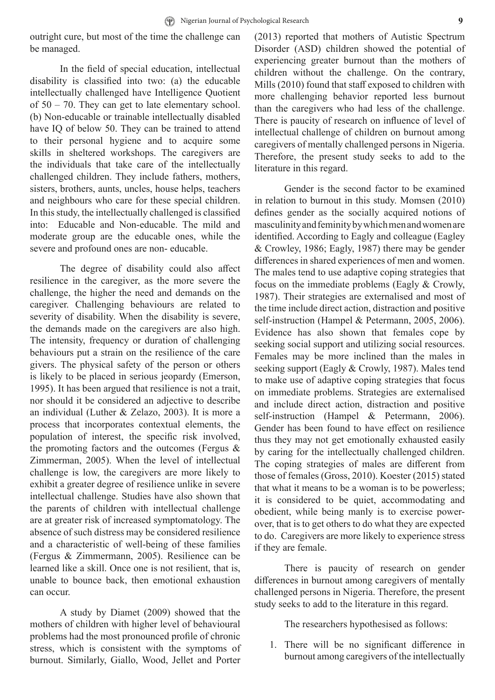outright cure, but most of the time the challenge can be managed.

In the field of special education, intellectual disability is classified into two: (a) the educable intellectually challenged have Intelligence Quotient of  $50 - 70$ . They can get to late elementary school. (b) Non-educable or trainable intellectually disabled have IQ of below 50. They can be trained to attend to their personal hygiene and to acquire some skills in sheltered workshops. The caregivers are the individuals that take care of the intellectually challenged children. They include fathers, mothers, sisters, brothers, aunts, uncles, house helps, teachers and neighbours who care for these special children. In this study, the intellectually challenged is classified into: Educable and Non-educable. The mild and moderate group are the educable ones, while the severe and profound ones are non- educable.

The degree of disability could also affect resilience in the caregiver, as the more severe the challenge, the higher the need and demands on the caregiver. Challenging behaviours are related to severity of disability. When the disability is severe, the demands made on the caregivers are also high. The intensity, frequency or duration of challenging behaviours put a strain on the resilience of the care givers. The physical safety of the person or others is likely to be placed in serious jeopardy (Emerson, 1995). It has been argued that resilience is not a trait, nor should it be considered an adjective to describe an individual (Luther & Zelazo, 2003). It is more a process that incorporates contextual elements, the population of interest, the specific risk involved, the promoting factors and the outcomes (Fergus & Zimmerman, 2005). When the level of intellectual challenge is low, the caregivers are more likely to exhibit a greater degree of resilience unlike in severe intellectual challenge. Studies have also shown that the parents of children with intellectual challenge are at greater risk of increased symptomatology. The absence of such distress may be considered resilience and a characteristic of well-being of these families (Fergus & Zimmermann, 2005). Resilience can be learned like a skill. Once one is not resilient, that is, unable to bounce back, then emotional exhaustion can occur.

A study by Diamet (2009) showed that the mothers of children with higher level of behavioural problems had the most pronounced profile of chronic stress, which is consistent with the symptoms of burnout. Similarly, Giallo, Wood, Jellet and Porter (2013) reported that mothers of Autistic Spectrum Disorder (ASD) children showed the potential of experiencing greater burnout than the mothers of children without the challenge. On the contrary, Mills (2010) found that staff exposed to children with more challenging behavior reported less burnout than the caregivers who had less of the challenge. There is paucity of research on influence of level of intellectual challenge of children on burnout among caregivers of mentally challenged persons in Nigeria. Therefore, the present study seeks to add to the literature in this regard.

Gender is the second factor to be examined in relation to burnout in this study. Momsen (2010) defines gender as the socially acquired notions of masculinity and feminity by which men and women are identified. According to Eagly and colleague (Eagley & Crowley, 1986; Eagly, 1987) there may be gender differences in shared experiences of men and women. The males tend to use adaptive coping strategies that focus on the immediate problems (Eagly & Crowly, 1987). Their strategies are externalised and most of the time include direct action, distraction and positive self-instruction (Hampel & Petermann, 2005, 2006). Evidence has also shown that females cope by seeking social support and utilizing social resources. Females may be more inclined than the males in seeking support (Eagly & Crowly, 1987). Males tend to make use of adaptive coping strategies that focus on immediate problems. Strategies are externalised and include direct action, distraction and positive self-instruction (Hampel & Petermann, 2006). Gender has been found to have effect on resilience thus they may not get emotionally exhausted easily by caring for the intellectually challenged children. The coping strategies of males are different from those of females (Gross, 2010). Koester (2015) stated that what it means to be a woman is to be powerless; it is considered to be quiet, accommodating and obedient, while being manly is to exercise powerover, that is to get others to do what they are expected to do. Caregivers are more likely to experience stress if they are female.

There is paucity of research on gender differences in burnout among caregivers of mentally challenged persons in Nigeria. Therefore, the present study seeks to add to the literature in this regard.

The researchers hypothesised as follows:

1. There will be no significant difference in burnout among caregivers of the intellectually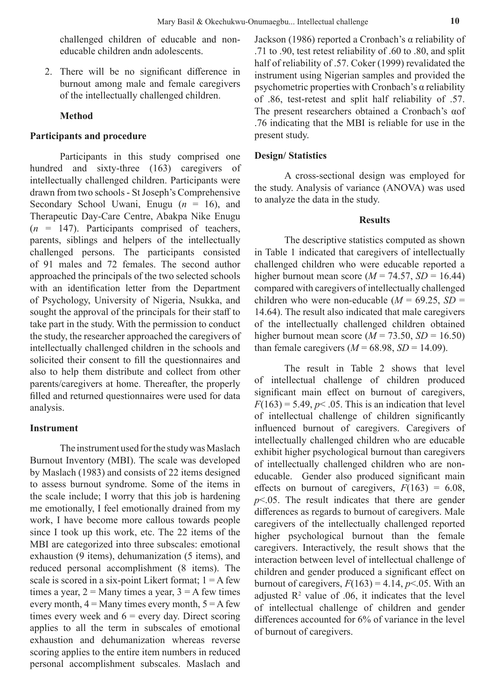challenged children of educable and noneducable children andn adolescents.

2. There will be no significant difference in burnout among male and female caregivers of the intellectually challenged children.

## **Method**

# **Participants and procedure**

Participants in this study comprised one hundred and sixty-three (163) caregivers of intellectually challenged children. Participants were drawn from two schools - St Joseph's Comprehensive Secondary School Uwani, Enugu (*n* = 16), and Therapeutic Day-Care Centre, Abakpa Nike Enugu  $(n = 147)$ . Participants comprised of teachers, parents, siblings and helpers of the intellectually challenged persons. The participants consisted of 91 males and 72 females. The second author approached the principals of the two selected schools with an identification letter from the Department of Psychology, University of Nigeria, Nsukka, and sought the approval of the principals for their staff to take part in the study. With the permission to conduct the study, the researcher approached the caregivers of intellectually challenged children in the schools and solicited their consent to fill the questionnaires and also to help them distribute and collect from other parents/caregivers at home. Thereafter, the properly filled and returned questionnaires were used for data analysis.

# **Instrument**

The instrument used for the study was Maslach Burnout Inventory (MBI). The scale was developed by Maslach (1983) and consists of 22 items designed to assess burnout syndrome. Some of the items in the scale include; I worry that this job is hardening me emotionally, I feel emotionally drained from my work, I have become more callous towards people since I took up this work, etc. The 22 items of the MBI are categorized into three subscales: emotional exhaustion (9 items), dehumanization (5 items), and reduced personal accomplishment (8 items). The scale is scored in a six-point Likert format;  $1 = A$  few times a year,  $2 =$  Many times a year,  $3 =$  A few times every month,  $4 =$  Many times every month,  $5 =$  A few times every week and  $6$  = every day. Direct scoring applies to all the term in subscales of emotional exhaustion and dehumanization whereas reverse scoring applies to the entire item numbers in reduced personal accomplishment subscales. Maslach and Jackson (1986) reported a Cronbach's α reliability of .71 to .90, test retest reliability of .60 to .80, and split half of reliability of .57. Coker (1999) revalidated the instrument using Nigerian samples and provided the psychometric properties with Cronbach's α reliability of .86, test-retest and split half reliability of .57. The present researchers obtained a Cronbach's αof .76 indicating that the MBI is reliable for use in the present study.

### **Design/ Statistics**

A cross-sectional design was employed for the study. Analysis of variance (ANOVA) was used to analyze the data in the study.

#### **Results**

The descriptive statistics computed as shown in Table 1 indicated that caregivers of intellectually challenged children who were educable reported a higher burnout mean score ( $M = 74.57$ ,  $SD = 16.44$ ) compared with caregivers of intellectually challenged children who were non-educable ( $M = 69.25$ ,  $SD =$ 14.64). The result also indicated that male caregivers of the intellectually challenged children obtained higher burnout mean score ( $M = 73.50$ ,  $SD = 16.50$ ) than female caregivers  $(M = 68.98, SD = 14.09)$ .

The result in Table 2 shows that level of intellectual challenge of children produced significant main effect on burnout of caregivers,  $F(163) = 5.49, p< .05$ . This is an indication that level of intellectual challenge of children significantly influenced burnout of caregivers. Caregivers of intellectually challenged children who are educable exhibit higher psychological burnout than caregivers of intellectually challenged children who are noneducable. Gender also produced significant main effects on burnout of caregivers,  $F(163) = 6.08$ , *p*<.05. The result indicates that there are gender differences as regards to burnout of caregivers. Male caregivers of the intellectually challenged reported higher psychological burnout than the female caregivers. Interactively, the result shows that the interaction between level of intellectual challenge of children and gender produced a significant effect on burnout of caregivers,  $F(163) = 4.14$ ,  $p<.05$ . With an adjusted  $\mathbb{R}^2$  value of .06, it indicates that the level of intellectual challenge of children and gender differences accounted for 6% of variance in the level of burnout of caregivers.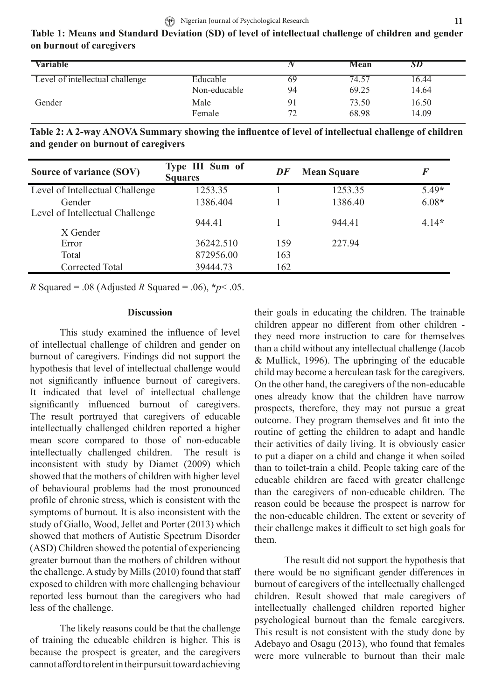| Table 1: Means and Standard Deviation (SD) of level of intellectual challenge of children and gender |  |  |  |
|------------------------------------------------------------------------------------------------------|--|--|--|
| on burnout of caregivers                                                                             |  |  |  |

| <b>Variable</b>                 |              |                | Mean  | SD    |  |
|---------------------------------|--------------|----------------|-------|-------|--|
| Level of intellectual challenge | Educable     | 69             | 74.57 | 16.44 |  |
|                                 | Non-educable | 94             | 69.25 | 14.64 |  |
| Gender                          | Male         | 9 <sub>1</sub> | 73.50 | 16.50 |  |
|                                 | Female       | 70             | 68.98 | 14.09 |  |

**Table 2: A 2-way ANOVA Summary showing the influentce of level of intellectual challenge of children and gender on burnout of caregivers**

| Source of variance (SOV)                    | Type III Sum of<br><b>Squares</b> | DF  | <b>Mean Square</b> | $\bm{F}$ |
|---------------------------------------------|-----------------------------------|-----|--------------------|----------|
| Level of Intellectual Challenge             | 1253.35                           |     | 1253.35            | $5.49*$  |
| Gender                                      | 1386.404                          |     | 1386.40            | $6.08*$  |
| Level of Intellectual Challenge<br>X Gender | 944.41                            |     | 944.41             | $4.14*$  |
| Error                                       | 36242.510                         | 159 | 227.94             |          |
| Total                                       | 872956.00                         | 163 |                    |          |
| Corrected Total                             | 39444.73                          | 162 |                    |          |

*R* Squared = .08 (Adjusted *R* Squared = .06),  $*$ *p* < .05.

#### **Discussion**

This study examined the influence of level of intellectual challenge of children and gender on burnout of caregivers. Findings did not support the hypothesis that level of intellectual challenge would not significantly influence burnout of caregivers. It indicated that level of intellectual challenge significantly influenced burnout of caregivers. The result portrayed that caregivers of educable intellectually challenged children reported a higher mean score compared to those of non-educable intellectually challenged children. The result is inconsistent with study by Diamet (2009) which showed that the mothers of children with higher level of behavioural problems had the most pronounced profile of chronic stress, which is consistent with the symptoms of burnout. It is also inconsistent with the study of Giallo, Wood, Jellet and Porter (2013) which showed that mothers of Autistic Spectrum Disorder (ASD) Children showed the potential of experiencing greater burnout than the mothers of children without the challenge. A study by Mills (2010) found that staff exposed to children with more challenging behaviour reported less burnout than the caregivers who had less of the challenge.

The likely reasons could be that the challenge of training the educable children is higher. This is because the prospect is greater, and the caregivers cannot afford to relent in their pursuit toward achieving

their goals in educating the children. The trainable children appear no different from other children they need more instruction to care for themselves than a child without any intellectual challenge (Jacob & Mullick, 1996). The upbringing of the educable child may become a herculean task for the caregivers. On the other hand, the caregivers of the non-educable ones already know that the children have narrow prospects, therefore, they may not pursue a great outcome. They program themselves and fit into the routine of getting the children to adapt and handle their activities of daily living. It is obviously easier to put a diaper on a child and change it when soiled than to toilet-train a child. People taking care of the educable children are faced with greater challenge than the caregivers of non-educable children. The reason could be because the prospect is narrow for the non-educable children. The extent or severity of their challenge makes it difficult to set high goals for them.

The result did not support the hypothesis that there would be no significant gender differences in burnout of caregivers of the intellectually challenged children. Result showed that male caregivers of intellectually challenged children reported higher psychological burnout than the female caregivers. This result is not consistent with the study done by Adebayo and Osagu (2013), who found that females were more vulnerable to burnout than their male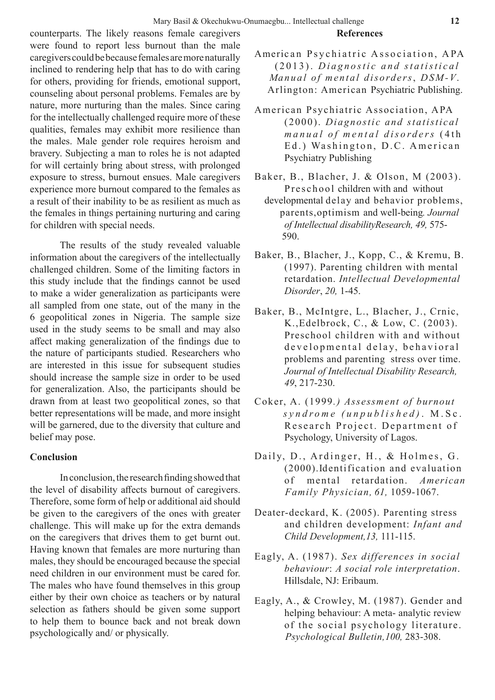counterparts. The likely reasons female caregivers were found to report less burnout than the male caregivers could be because females are more naturally inclined to rendering help that has to do with caring for others, providing for friends, emotional support, counseling about personal problems. Females are by nature, more nurturing than the males. Since caring for the intellectually challenged require more of these qualities, females may exhibit more resilience than the males. Male gender role requires heroism and bravery. Subjecting a man to roles he is not adapted for will certainly bring about stress, with prolonged exposure to stress, burnout ensues. Male caregivers experience more burnout compared to the females as a result of their inability to be as resilient as much as the females in things pertaining nurturing and caring for children with special needs.

The results of the study revealed valuable information about the caregivers of the intellectually challenged children. Some of the limiting factors in this study include that the findings cannot be used to make a wider generalization as participants were all sampled from one state, out of the many in the 6 geopolitical zones in Nigeria. The sample size used in the study seems to be small and may also affect making generalization of the findings due to the nature of participants studied. Researchers who are interested in this issue for subsequent studies should increase the sample size in order to be used for generalization. Also, the participants should be drawn from at least two geopolitical zones, so that better representations will be made, and more insight will be garnered, due to the diversity that culture and belief may pose.

# **Conclusion**

In conclusion, the research finding showed that the level of disability affects burnout of caregivers. Therefore, some form of help or additional aid should be given to the caregivers of the ones with greater challenge. This will make up for the extra demands on the caregivers that drives them to get burnt out. Having known that females are more nurturing than males, they should be encouraged because the special need children in our environment must be cared for. The males who have found themselves in this group either by their own choice as teachers or by natural selection as fathers should be given some support to help them to bounce back and not break down psychologically and/ or physically.

- American Psychiatric Association, APA (2013). *Diagnostic and statistical Manual of mental disorders*, *DSM-V*. Arlington: American Psychiatric Publishing.
- American Psychiatric Association, APA (2000). *Diagnostic and statistical manual of mental disorders* (4th Ed.) Washington, D.C. American Psychiatry Publishing
- Baker, B., Blacher, J. & Olson, M (2003). P r e s c h o o l children with and without
	- developmental delay and behavior problems, parents,optimism and well-being*. Journal of Intellectual disabilityResearch, 49,* 575- 590.
- Baker, B., Blacher, J., Kopp, C., & Kremu, B. (1997). Parenting children with mental retardation. *Intellectual Developmental Disorder*, *20,* 1-45.
- Baker, B., McIntgre, L., Blacher, J., Crnic, K.,Edelbrock, C., & Low, C. (2003). Preschool children with and without developmental delay, behavioral problems and parenting stress over time. *Journal of Intellectual Disability Research, 49*, 217-230.
- Coker, A. (1999*.) Assessment of burnout syndrome (unpublished)* . M.Sc. Research Project. Department of Psychology, University of Lagos.
- Daily, D., Ardinger, H., & Holmes, G. (2000).Identification and evaluation of mental retardation. *American Family Physician, 61,* 1059-1067.
- Deater-deckard, K. (2005). Parenting stress and children development: *Infant and Child Development,13,* 111-115.
- Eagly, A. (1987). *Sex differences in social behaviour*: *A social role interpretation*. Hillsdale, NJ: Eribaum.
- Eagly, A., & Crowley, M. (1987). Gender and helping behaviour: A meta- analytic review of the social psychology literature. *Psychological Bulletin,100,* 283-308.